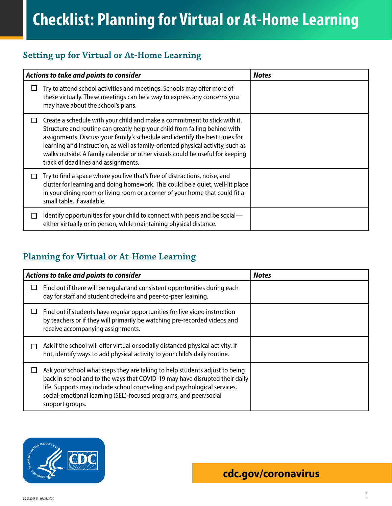## **Setting up for Virtual or At-Home Learning**

| Actions to take and points to consider |                                                                                                                                                                                                                                                                                                                                                                                                                                                   | <b>Notes</b> |
|----------------------------------------|---------------------------------------------------------------------------------------------------------------------------------------------------------------------------------------------------------------------------------------------------------------------------------------------------------------------------------------------------------------------------------------------------------------------------------------------------|--------------|
| ப                                      | Try to attend school activities and meetings. Schools may offer more of<br>these virtually. These meetings can be a way to express any concerns you<br>may have about the school's plans.                                                                                                                                                                                                                                                         |              |
| $\perp$                                | Create a schedule with your child and make a commitment to stick with it.<br>Structure and routine can greatly help your child from falling behind with<br>assignments. Discuss your family's schedule and identify the best times for<br>learning and instruction, as well as family-oriented physical activity, such as<br>walks outside. A family calendar or other visuals could be useful for keeping<br>track of deadlines and assignments. |              |
| $\mathsf{L}$                           | Try to find a space where you live that's free of distractions, noise, and<br>clutter for learning and doing homework. This could be a quiet, well-lit place<br>in your dining room or living room or a corner of your home that could fit a<br>small table, if available.                                                                                                                                                                        |              |
| ΙI                                     | Identify opportunities for your child to connect with peers and be social—<br>either virtually or in person, while maintaining physical distance.                                                                                                                                                                                                                                                                                                 |              |

## **Planning for Virtual or At-Home Learning**

| Actions to take and points to consider |                                                                                                                                                                                                                                                                                                                                | <b>Notes</b> |
|----------------------------------------|--------------------------------------------------------------------------------------------------------------------------------------------------------------------------------------------------------------------------------------------------------------------------------------------------------------------------------|--------------|
|                                        | Find out if there will be regular and consistent opportunities during each<br>day for staff and student check-ins and peer-to-peer learning.                                                                                                                                                                                   |              |
|                                        | Find out if students have regular opportunities for live video instruction<br>by teachers or if they will primarily be watching pre-recorded videos and<br>receive accompanying assignments.                                                                                                                                   |              |
|                                        | Ask if the school will offer virtual or socially distanced physical activity. If<br>not, identify ways to add physical activity to your child's daily routine.                                                                                                                                                                 |              |
|                                        | Ask your school what steps they are taking to help students adjust to being<br>back in school and to the ways that COVID-19 may have disrupted their daily<br>life. Supports may include school counseling and psychological services,<br>social-emotional learning (SEL)-focused programs, and peer/social<br>support groups. |              |

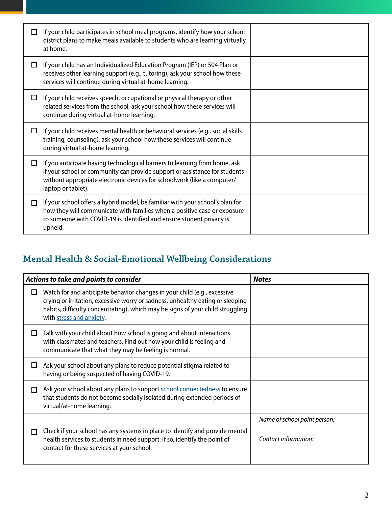|   | If your child participates in school meal programs, identify how your school<br>district plans to make meals available to students who are learning virtually<br>at home.                                                                                 |  |
|---|-----------------------------------------------------------------------------------------------------------------------------------------------------------------------------------------------------------------------------------------------------------|--|
| ப | If your child has an Individualized Education Program (IEP) or 504 Plan or<br>receives other learning support (e.g., tutoring), ask your school how these<br>services will continue during virtual at-home learning.                                      |  |
| ப | If your child receives speech, occupational or physical therapy or other<br>related services from the school, ask your school how these services will<br>continue during virtual at-home learning.                                                        |  |
|   | If your child receives mental health or behavioral services (e.g., social skills<br>training, counseling), ask your school how these services will continue<br>during virtual at-home learning.                                                           |  |
| П | If you anticipate having technological barriers to learning from home, ask<br>if your school or community can provide support or assistance for students<br>without appropriate electronic devices for schoolwork (like a computer/<br>laptop or tablet). |  |
| П | If your school offers a hybrid model, be familiar with your school's plan for<br>how they will communicate with families when a positive case or exposure<br>to someone with COVID-19 is identified and ensure student privacy is<br>upheld.              |  |

## **Mental Health & Social-Emotional Wellbeing Considerations**

| Actions to take and points to consider |                                                                                                                                                                                                                                                                          | <b>Notes</b>                                         |
|----------------------------------------|--------------------------------------------------------------------------------------------------------------------------------------------------------------------------------------------------------------------------------------------------------------------------|------------------------------------------------------|
|                                        | Watch for and anticipate behavior changes in your child (e.g., excessive<br>crying or irritation, excessive worry or sadness, unhealthy eating or sleeping<br>habits, difficulty concentrating), which may be signs of your child struggling<br>with stress and anxiety. |                                                      |
| ΙI                                     | Talk with your child about how school is going and about interactions<br>with classmates and teachers. Find out how your child is feeling and<br>communicate that what they may be feeling is normal.                                                                    |                                                      |
| ப                                      | Ask your school about any plans to reduce potential stigma related to<br>having or being suspected of having COVID-19.                                                                                                                                                   |                                                      |
| l I                                    | Ask your school about any plans to support school connectedness to ensure<br>that students do not become socially isolated during extended periods of<br>virtual/at-home learning.                                                                                       |                                                      |
|                                        | Check if your school has any systems in place to identify and provide mental<br>health services to students in need support. If so, identify the point of<br>contact for these services at your school.                                                                  | Name of school point person:<br>Contact information: |